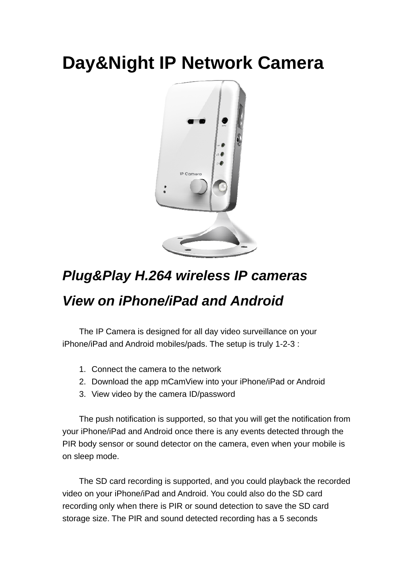## **Day&Night IP Network Camera**



## *Plug&Play H.264 wireless IP cameras View on iPhone/iPad and Android*

 The IP Camera is designed for all day video surveillance on your iPhone/iPad and Android mobiles/pads. The setup is truly 1-2-3 :

- 1. Connect the camera to the network
- 2. Download the app mCamView into your iPhone/iPad or Android
- 3. View video by the camera ID/password

The push notification is supported, so that you will get the notification from your iPhone/iPad and Android once there is any events detected through the PIR body sensor or sound detector on the camera, even when your mobile is on sleep mode.

The SD card recording is supported, and you could playback the recorded video on your iPhone/iPad and Android. You could also do the SD card recording only when there is PIR or sound detection to save the SD card storage size. The PIR and sound detected recording has a 5 seconds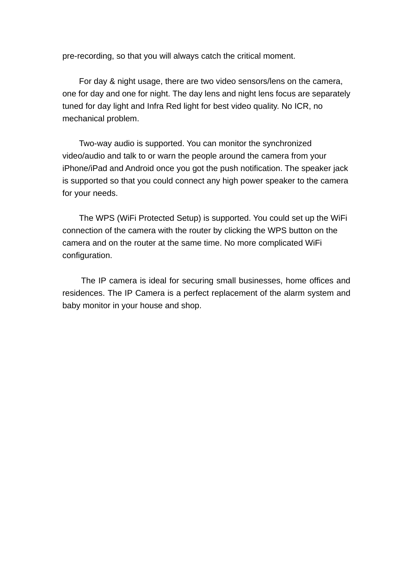pre-recording, so that you will always catch the critical moment.

For day & night usage, there are two video sensors/lens on the camera, one for day and one for night. The day lens and night lens focus are separately tuned for day light and Infra Red light for best video quality. No ICR, no mechanical problem.

Two-way audio is supported. You can monitor the synchronized video/audio and talk to or warn the people around the camera from your iPhone/iPad and Android once you got the push notification. The speaker jack is supported so that you could connect any high power speaker to the camera for your needs.

The WPS (WiFi Protected Setup) is supported. You could set up the WiFi connection of the camera with the router by clicking the WPS button on the camera and on the router at the same time. No more complicated WiFi configuration.

The IP camera is ideal for securing small businesses, home offices and residences. The IP Camera is a perfect replacement of the alarm system and baby monitor in your house and shop.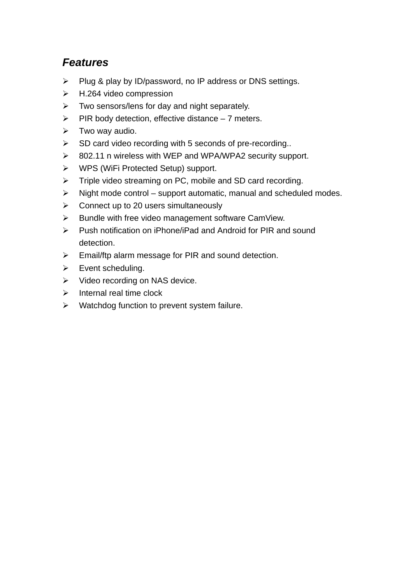## *Features*

- $\triangleright$  Plug & play by ID/password, no IP address or DNS settings.
- $\triangleright$  H.264 video compression
- $\triangleright$  Two sensors/lens for day and night separately.
- $\triangleright$  PIR body detection, effective distance 7 meters.
- $\triangleright$  Two way audio.
- $\triangleright$  SD card video recording with 5 seconds of pre-recording..
- ▶ 802.11 n wireless with WEP and WPA/WPA2 security support.
- WPS (WiFi Protected Setup) support.
- Fiple video streaming on PC, mobile and SD card recording.
- $\triangleright$  Night mode control support automatic, manual and scheduled modes.
- $\triangleright$  Connect up to 20 users simultaneously
- $\triangleright$  Bundle with free video management software CamView.
- $\triangleright$  Push notification on iPhone/iPad and Android for PIR and sound detection.
- $\triangleright$  Email/ftp alarm message for PIR and sound detection.
- $\triangleright$  Event scheduling.
- $\triangleright$  Video recording on NAS device.
- $\triangleright$  Internal real time clock
- $\triangleright$  Watchdog function to prevent system failure.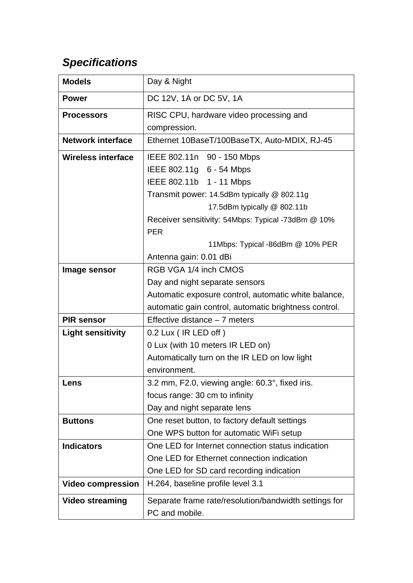## *Specifications*

| <b>Models</b>             | Day & Night                                           |
|---------------------------|-------------------------------------------------------|
| <b>Power</b>              | DC 12V, 1A or DC 5V, 1A                               |
| <b>Processors</b>         | RISC CPU, hardware video processing and               |
|                           | compression.                                          |
| <b>Network interface</b>  | Ethernet 10BaseT/100BaseTX, Auto-MDIX, RJ-45          |
| <b>Wireless interface</b> | IEEE 802.11n 90 - 150 Mbps                            |
|                           | IEEE 802.11g 6 - 54 Mbps                              |
|                           | IEEE 802.11b 1 - 11 Mbps                              |
|                           | Transmit power: 14.5dBm typically @ 802.11g           |
|                           | 17.5dBm typically @ 802.11b                           |
|                           | Receiver sensitivity: 54Mbps: Typical -73dBm @ 10%    |
|                           | <b>PER</b>                                            |
|                           | 11Mbps: Typical -86dBm @ 10% PER                      |
|                           | Antenna gain: 0.01 dBi                                |
| Image sensor              | RGB VGA 1/4 inch CMOS                                 |
|                           | Day and night separate sensors                        |
|                           | Automatic exposure control, automatic white balance,  |
|                           | automatic gain control, automatic brightness control. |
| <b>PIR sensor</b>         | Effective distance $-7$ meters                        |
| <b>Light sensitivity</b>  | 0.2 Lux (IR LED off)                                  |
|                           | 0 Lux (with 10 meters IR LED on)                      |
|                           | Automatically turn on the IR LED on low light         |
|                           | environment.                                          |
| Lens                      | 3.2 mm, F2.0, viewing angle: 60.3°, fixed iris.       |
|                           | focus range: 30 cm to infinity                        |
|                           | Day and night separate lens                           |
| <b>Buttons</b>            | One reset button, to factory default settings         |
|                           | One WPS button for automatic WiFi setup               |
| <b>Indicators</b>         | One LED for Internet connection status indication     |
|                           | One LED for Ethernet connection indication            |
|                           | One LED for SD card recording indication              |
| <b>Video compression</b>  | H.264, baseline profile level 3.1                     |
| <b>Video streaming</b>    | Separate frame rate/resolution/bandwidth settings for |
|                           | PC and mobile.                                        |